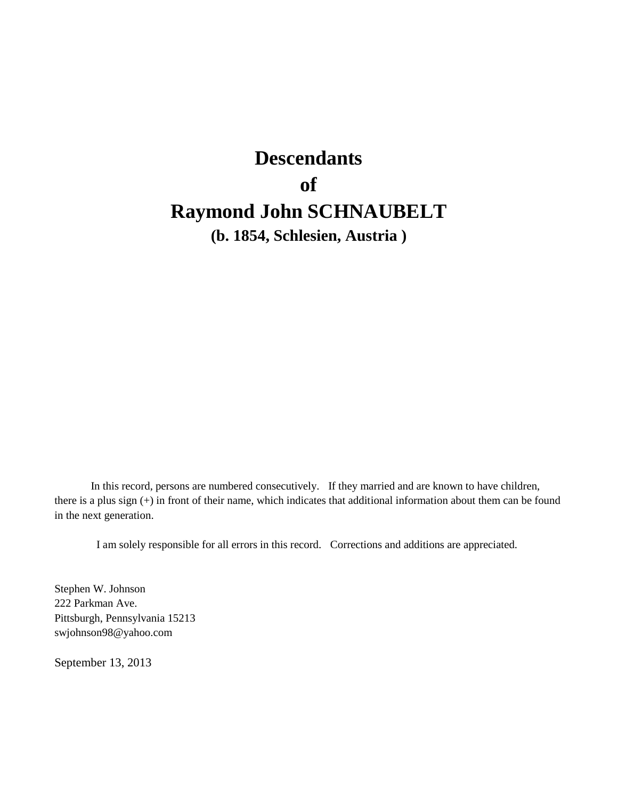# **Descendants of Raymond John SCHNAUBELT**

**(b. 1854, Schlesien, Austria )**

In this record, persons are numbered consecutively. If they married and are known to have children, there is a plus sign (+) in front of their name, which indicates that additional information about them can be found in the next generation.

I am solely responsible for all errors in this record. Corrections and additions are appreciated.

Stephen W. Johnson 222 Parkman Ave. Pittsburgh, Pennsylvania 15213 swjohnson98@yahoo.com

September 13, 2013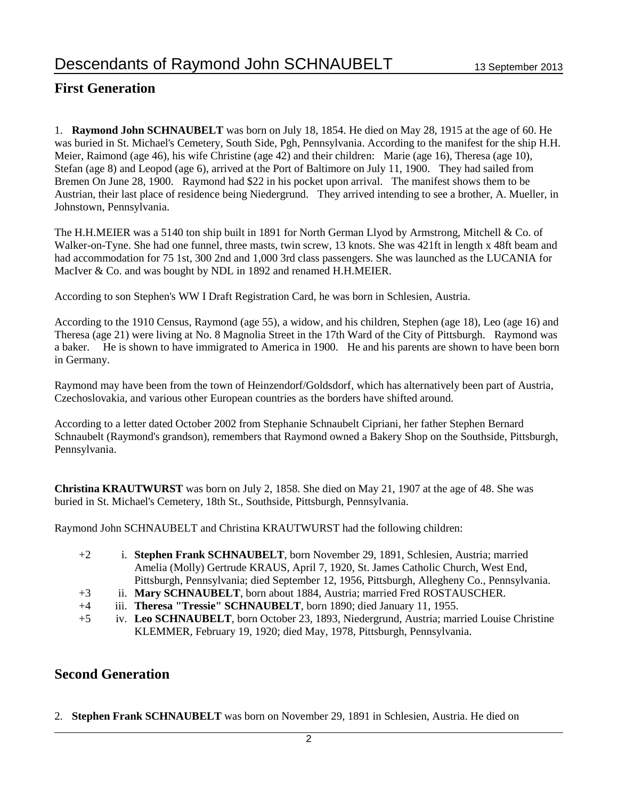# **First Generation**

1. **Raymond John SCHNAUBELT** was born on July 18, 1854. He died on May 28, 1915 at the age of 60. He was buried in St. Michael's Cemetery, South Side, Pgh, Pennsylvania. According to the manifest for the ship H.H. Meier, Raimond (age 46), his wife Christine (age 42) and their children: Marie (age 16), Theresa (age 10), Stefan (age 8) and Leopod (age 6), arrived at the Port of Baltimore on July 11, 1900. They had sailed from Bremen On June 28, 1900. Raymond had \$22 in his pocket upon arrival. The manifest shows them to be Austrian, their last place of residence being Niedergrund. They arrived intending to see a brother, A. Mueller, in Johnstown, Pennsylvania.

The H.H.MEIER was a 5140 ton ship built in 1891 for North German Llyod by Armstrong, Mitchell & Co. of Walker-on-Tyne. She had one funnel, three masts, twin screw, 13 knots. She was 421ft in length x 48ft beam and had accommodation for 75 1st, 300 2nd and 1,000 3rd class passengers. She was launched as the LUCANIA for MacIver & Co. and was bought by NDL in 1892 and renamed H.H.MEIER.

According to son Stephen's WW I Draft Registration Card, he was born in Schlesien, Austria.

According to the 1910 Census, Raymond (age 55), a widow, and his children, Stephen (age 18), Leo (age 16) and Theresa (age 21) were living at No. 8 Magnolia Street in the 17th Ward of the City of Pittsburgh. Raymond was a baker. He is shown to have immigrated to America in 1900. He and his parents are shown to have been born in Germany.

Raymond may have been from the town of Heinzendorf/Goldsdorf, which has alternatively been part of Austria, Czechoslovakia, and various other European countries as the borders have shifted around.

According to a letter dated October 2002 from Stephanie Schnaubelt Cipriani, her father Stephen Bernard Schnaubelt (Raymond's grandson), remembers that Raymond owned a Bakery Shop on the Southside, Pittsburgh, Pennsylvania.

**Christina KRAUTWURST** was born on July 2, 1858. She died on May 21, 1907 at the age of 48. She was buried in St. Michael's Cemetery, 18th St., Southside, Pittsburgh, Pennsylvania.

Raymond John SCHNAUBELT and Christina KRAUTWURST had the following children:

- +2 i. **Stephen Frank SCHNAUBELT**, born November 29, 1891, Schlesien, Austria; married Amelia (Molly) Gertrude KRAUS, April 7, 1920, St. James Catholic Church, West End, Pittsburgh, Pennsylvania; died September 12, 1956, Pittsburgh, Allegheny Co., Pennsylvania.
- +3 ii. **Mary SCHNAUBELT**, born about 1884, Austria; married Fred ROSTAUSCHER.
- +4 iii. **Theresa "Tressie" SCHNAUBELT**, born 1890; died January 11, 1955.
- +5 iv. **Leo SCHNAUBELT**, born October 23, 1893, Niedergrund, Austria; married Louise Christine KLEMMER, February 19, 1920; died May, 1978, Pittsburgh, Pennsylvania.

### **Second Generation**

2. **Stephen Frank SCHNAUBELT** was born on November 29, 1891 in Schlesien, Austria. He died on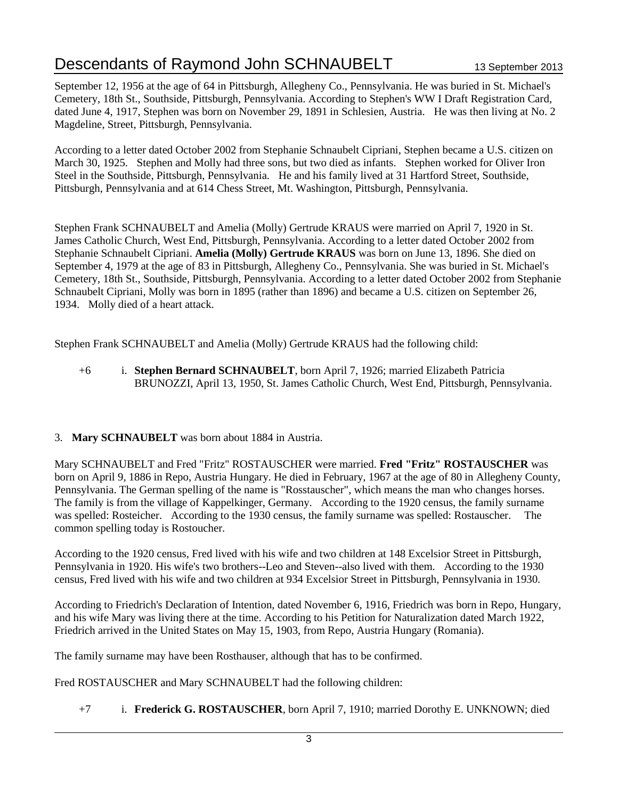# Descendants of Raymond John SCHNAUBELT 13 September 2013

September 12, 1956 at the age of 64 in Pittsburgh, Allegheny Co., Pennsylvania. He was buried in St. Michael's Cemetery, 18th St., Southside, Pittsburgh, Pennsylvania. According to Stephen's WW I Draft Registration Card, dated June 4, 1917, Stephen was born on November 29, 1891 in Schlesien, Austria. He was then living at No. 2 Magdeline, Street, Pittsburgh, Pennsylvania.

According to a letter dated October 2002 from Stephanie Schnaubelt Cipriani, Stephen became a U.S. citizen on March 30, 1925. Stephen and Molly had three sons, but two died as infants. Stephen worked for Oliver Iron Steel in the Southside, Pittsburgh, Pennsylvania. He and his family lived at 31 Hartford Street, Southside, Pittsburgh, Pennsylvania and at 614 Chess Street, Mt. Washington, Pittsburgh, Pennsylvania.

Stephen Frank SCHNAUBELT and Amelia (Molly) Gertrude KRAUS were married on April 7, 1920 in St. James Catholic Church, West End, Pittsburgh, Pennsylvania. According to a letter dated October 2002 from Stephanie Schnaubelt Cipriani. **Amelia (Molly) Gertrude KRAUS** was born on June 13, 1896. She died on September 4, 1979 at the age of 83 in Pittsburgh, Allegheny Co., Pennsylvania. She was buried in St. Michael's Cemetery, 18th St., Southside, Pittsburgh, Pennsylvania. According to a letter dated October 2002 from Stephanie Schnaubelt Cipriani, Molly was born in 1895 (rather than 1896) and became a U.S. citizen on September 26, 1934. Molly died of a heart attack.

Stephen Frank SCHNAUBELT and Amelia (Molly) Gertrude KRAUS had the following child:

+6 i. **Stephen Bernard SCHNAUBELT**, born April 7, 1926; married Elizabeth Patricia BRUNOZZI, April 13, 1950, St. James Catholic Church, West End, Pittsburgh, Pennsylvania.

#### 3. **Mary SCHNAUBELT** was born about 1884 in Austria.

Mary SCHNAUBELT and Fred "Fritz" ROSTAUSCHER were married. **Fred "Fritz" ROSTAUSCHER** was born on April 9, 1886 in Repo, Austria Hungary. He died in February, 1967 at the age of 80 in Allegheny County, Pennsylvania. The German spelling of the name is "Rosstauscher", which means the man who changes horses. The family is from the village of Kappelkinger, Germany. According to the 1920 census, the family surname was spelled: Rosteicher. According to the 1930 census, the family surname was spelled: Rostauscher. The common spelling today is Rostoucher.

According to the 1920 census, Fred lived with his wife and two children at 148 Excelsior Street in Pittsburgh, Pennsylvania in 1920. His wife's two brothers--Leo and Steven--also lived with them. According to the 1930 census, Fred lived with his wife and two children at 934 Excelsior Street in Pittsburgh, Pennsylvania in 1930.

According to Friedrich's Declaration of Intention, dated November 6, 1916, Friedrich was born in Repo, Hungary, and his wife Mary was living there at the time. According to his Petition for Naturalization dated March 1922, Friedrich arrived in the United States on May 15, 1903, from Repo, Austria Hungary (Romania).

The family surname may have been Rosthauser, although that has to be confirmed.

Fred ROSTAUSCHER and Mary SCHNAUBELT had the following children:

+7 i. **Frederick G. ROSTAUSCHER**, born April 7, 1910; married Dorothy E. UNKNOWN; died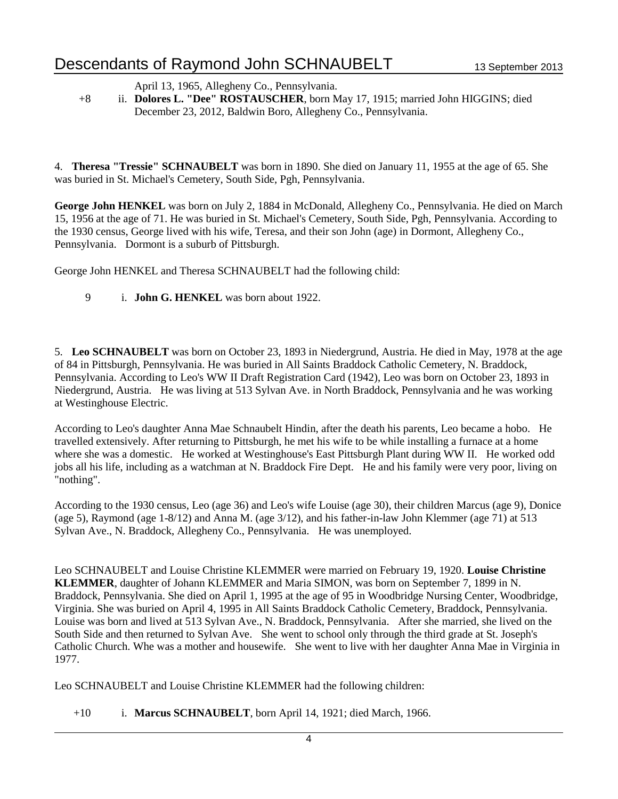# Descendants of Raymond John SCHNAUBELT 13 September 2013

April 13, 1965, Allegheny Co., Pennsylvania.

+8 ii. **Dolores L. "Dee" ROSTAUSCHER**, born May 17, 1915; married John HIGGINS; died December 23, 2012, Baldwin Boro, Allegheny Co., Pennsylvania.

4. **Theresa "Tressie" SCHNAUBELT** was born in 1890. She died on January 11, 1955 at the age of 65. She was buried in St. Michael's Cemetery, South Side, Pgh, Pennsylvania.

**George John HENKEL** was born on July 2, 1884 in McDonald, Allegheny Co., Pennsylvania. He died on March 15, 1956 at the age of 71. He was buried in St. Michael's Cemetery, South Side, Pgh, Pennsylvania. According to the 1930 census, George lived with his wife, Teresa, and their son John (age) in Dormont, Allegheny Co., Pennsylvania. Dormont is a suburb of Pittsburgh.

George John HENKEL and Theresa SCHNAUBELT had the following child:

9 i. **John G. HENKEL** was born about 1922.

5. **Leo SCHNAUBELT** was born on October 23, 1893 in Niedergrund, Austria. He died in May, 1978 at the age of 84 in Pittsburgh, Pennsylvania. He was buried in All Saints Braddock Catholic Cemetery, N. Braddock, Pennsylvania. According to Leo's WW II Draft Registration Card (1942), Leo was born on October 23, 1893 in Niedergrund, Austria. He was living at 513 Sylvan Ave. in North Braddock, Pennsylvania and he was working at Westinghouse Electric.

According to Leo's daughter Anna Mae Schnaubelt Hindin, after the death his parents, Leo became a hobo. He travelled extensively. After returning to Pittsburgh, he met his wife to be while installing a furnace at a home where she was a domestic. He worked at Westinghouse's East Pittsburgh Plant during WW II. He worked odd jobs all his life, including as a watchman at N. Braddock Fire Dept. He and his family were very poor, living on "nothing".

According to the 1930 census, Leo (age 36) and Leo's wife Louise (age 30), their children Marcus (age 9), Donice (age 5), Raymond (age 1-8/12) and Anna M. (age 3/12), and his father-in-law John Klemmer (age 71) at 513 Sylvan Ave., N. Braddock, Allegheny Co., Pennsylvania. He was unemployed.

Leo SCHNAUBELT and Louise Christine KLEMMER were married on February 19, 1920. **Louise Christine KLEMMER**, daughter of Johann KLEMMER and Maria SIMON, was born on September 7, 1899 in N. Braddock, Pennsylvania. She died on April 1, 1995 at the age of 95 in Woodbridge Nursing Center, Woodbridge, Virginia. She was buried on April 4, 1995 in All Saints Braddock Catholic Cemetery, Braddock, Pennsylvania. Louise was born and lived at 513 Sylvan Ave., N. Braddock, Pennsylvania. After she married, she lived on the South Side and then returned to Sylvan Ave. She went to school only through the third grade at St. Joseph's Catholic Church. Whe was a mother and housewife. She went to live with her daughter Anna Mae in Virginia in 1977.

Leo SCHNAUBELT and Louise Christine KLEMMER had the following children:

+10 i. **Marcus SCHNAUBELT**, born April 14, 1921; died March, 1966.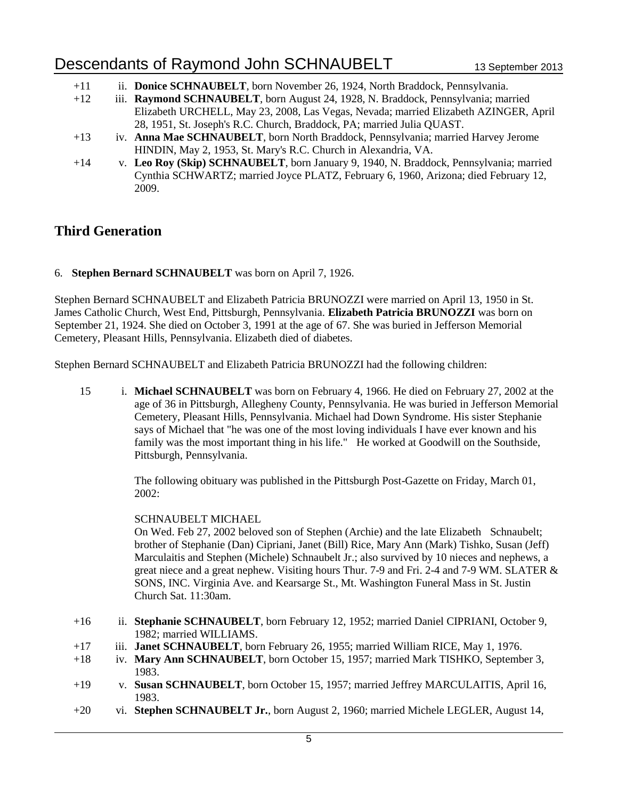- +11 ii. **Donice SCHNAUBELT**, born November 26, 1924, North Braddock, Pennsylvania.
- +12 iii. **Raymond SCHNAUBELT**, born August 24, 1928, N. Braddock, Pennsylvania; married Elizabeth URCHELL, May 23, 2008, Las Vegas, Nevada; married Elizabeth AZINGER, April 28, 1951, St. Joseph's R.C. Church, Braddock, PA; married Julia QUAST.
- +13 iv. **Anna Mae SCHNAUBELT**, born North Braddock, Pennsylvania; married Harvey Jerome HINDIN, May 2, 1953, St. Mary's R.C. Church in Alexandria, VA.
- +14 v. **Leo Roy (Skip) SCHNAUBELT**, born January 9, 1940, N. Braddock, Pennsylvania; married Cynthia SCHWARTZ; married Joyce PLATZ, February 6, 1960, Arizona; died February 12, 2009.

### **Third Generation**

#### 6. **Stephen Bernard SCHNAUBELT** was born on April 7, 1926.

Stephen Bernard SCHNAUBELT and Elizabeth Patricia BRUNOZZI were married on April 13, 1950 in St. James Catholic Church, West End, Pittsburgh, Pennsylvania. **Elizabeth Patricia BRUNOZZI** was born on September 21, 1924. She died on October 3, 1991 at the age of 67. She was buried in Jefferson Memorial Cemetery, Pleasant Hills, Pennsylvania. Elizabeth died of diabetes.

Stephen Bernard SCHNAUBELT and Elizabeth Patricia BRUNOZZI had the following children:

15 i. **Michael SCHNAUBELT** was born on February 4, 1966. He died on February 27, 2002 at the age of 36 in Pittsburgh, Allegheny County, Pennsylvania. He was buried in Jefferson Memorial Cemetery, Pleasant Hills, Pennsylvania. Michael had Down Syndrome. His sister Stephanie says of Michael that "he was one of the most loving individuals I have ever known and his family was the most important thing in his life." He worked at Goodwill on the Southside, Pittsburgh, Pennsylvania.

> The following obituary was published in the Pittsburgh Post-Gazette on Friday, March 01, 2002:

#### SCHNAUBELT MICHAEL

On Wed. Feb 27, 2002 beloved son of Stephen (Archie) and the late Elizabeth Schnaubelt; brother of Stephanie (Dan) Cipriani, Janet (Bill) Rice, Mary Ann (Mark) Tishko, Susan (Jeff) Marculaitis and Stephen (Michele) Schnaubelt Jr.; also survived by 10 nieces and nephews, a great niece and a great nephew. Visiting hours Thur. 7-9 and Fri. 2-4 and 7-9 WM. SLATER & SONS, INC. Virginia Ave. and Kearsarge St., Mt. Washington Funeral Mass in St. Justin Church Sat. 11:30am.

- +16 ii. **Stephanie SCHNAUBELT**, born February 12, 1952; married Daniel CIPRIANI, October 9, 1982; married WILLIAMS.
- +17 iii. **Janet SCHNAUBELT**, born February 26, 1955; married William RICE, May 1, 1976.
- +18 iv. **Mary Ann SCHNAUBELT**, born October 15, 1957; married Mark TISHKO, September 3, 1983.
- +19 v. **Susan SCHNAUBELT**, born October 15, 1957; married Jeffrey MARCULAITIS, April 16, 1983.
- +20 vi. **Stephen SCHNAUBELT Jr.**, born August 2, 1960; married Michele LEGLER, August 14,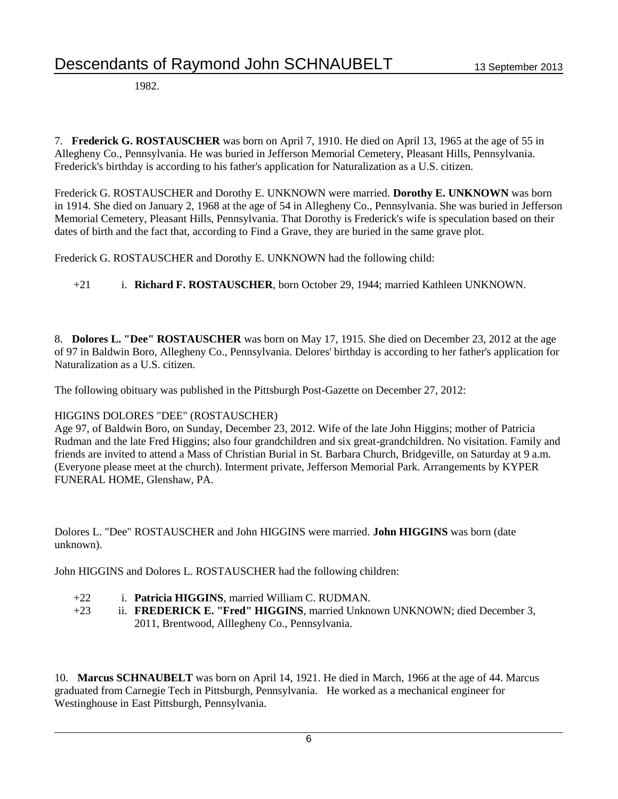1982.

7. **Frederick G. ROSTAUSCHER** was born on April 7, 1910. He died on April 13, 1965 at the age of 55 in Allegheny Co., Pennsylvania. He was buried in Jefferson Memorial Cemetery, Pleasant Hills, Pennsylvania. Frederick's birthday is according to his father's application for Naturalization as a U.S. citizen.

Frederick G. ROSTAUSCHER and Dorothy E. UNKNOWN were married. **Dorothy E. UNKNOWN** was born in 1914. She died on January 2, 1968 at the age of 54 in Allegheny Co., Pennsylvania. She was buried in Jefferson Memorial Cemetery, Pleasant Hills, Pennsylvania. That Dorothy is Frederick's wife is speculation based on their dates of birth and the fact that, according to Find a Grave, they are buried in the same grave plot.

Frederick G. ROSTAUSCHER and Dorothy E. UNKNOWN had the following child:

+21 i. **Richard F. ROSTAUSCHER**, born October 29, 1944; married Kathleen UNKNOWN.

8. **Dolores L. "Dee" ROSTAUSCHER** was born on May 17, 1915. She died on December 23, 2012 at the age of 97 in Baldwin Boro, Allegheny Co., Pennsylvania. Delores' birthday is according to her father's application for Naturalization as a U.S. citizen.

The following obituary was published in the Pittsburgh Post-Gazette on December 27, 2012:

#### HIGGINS DOLORES "DEE" (ROSTAUSCHER)

Age 97, of Baldwin Boro, on Sunday, December 23, 2012. Wife of the late John Higgins; mother of Patricia Rudman and the late Fred Higgins; also four grandchildren and six great-grandchildren. No visitation. Family and friends are invited to attend a Mass of Christian Burial in St. Barbara Church, Bridgeville, on Saturday at 9 a.m. (Everyone please meet at the church). Interment private, Jefferson Memorial Park. Arrangements by KYPER FUNERAL HOME, Glenshaw, PA.

Dolores L. "Dee" ROSTAUSCHER and John HIGGINS were married. **John HIGGINS** was born (date unknown).

John HIGGINS and Dolores L. ROSTAUSCHER had the following children:

- +22 i. **Patricia HIGGINS**, married William C. RUDMAN.
- +23 ii. **FREDERICK E. "Fred" HIGGINS**, married Unknown UNKNOWN; died December 3, 2011, Brentwood, Alllegheny Co., Pennsylvania.

10. **Marcus SCHNAUBELT** was born on April 14, 1921. He died in March, 1966 at the age of 44. Marcus graduated from Carnegie Tech in Pittsburgh, Pennsylvania. He worked as a mechanical engineer for Westinghouse in East Pittsburgh, Pennsylvania.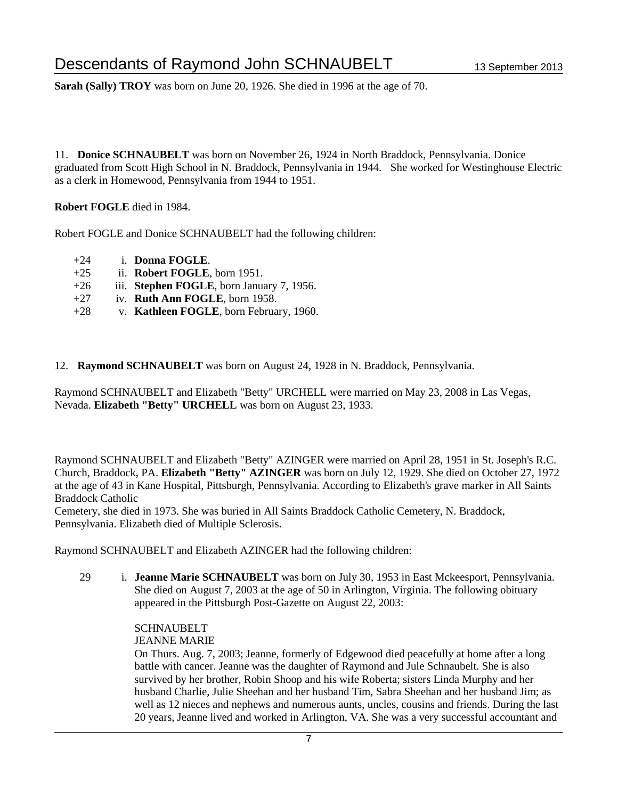**Sarah (Sally) TROY** was born on June 20, 1926. She died in 1996 at the age of 70.

11. **Donice SCHNAUBELT** was born on November 26, 1924 in North Braddock, Pennsylvania. Donice graduated from Scott High School in N. Braddock, Pennsylvania in 1944. She worked for Westinghouse Electric as a clerk in Homewood, Pennsylvania from 1944 to 1951.

**Robert FOGLE** died in 1984.

Robert FOGLE and Donice SCHNAUBELT had the following children:

- +24 i. **Donna FOGLE**.
- +25 ii. **Robert FOGLE**, born 1951.
- +26 iii. **Stephen FOGLE**, born January 7, 1956.
- +27 iv. **Ruth Ann FOGLE**, born 1958.
- +28 v. **Kathleen FOGLE**, born February, 1960.
- 12. **Raymond SCHNAUBELT** was born on August 24, 1928 in N. Braddock, Pennsylvania.

Raymond SCHNAUBELT and Elizabeth "Betty" URCHELL were married on May 23, 2008 in Las Vegas, Nevada. **Elizabeth "Betty" URCHELL** was born on August 23, 1933.

Raymond SCHNAUBELT and Elizabeth "Betty" AZINGER were married on April 28, 1951 in St. Joseph's R.C. Church, Braddock, PA. **Elizabeth "Betty" AZINGER** was born on July 12, 1929. She died on October 27, 1972 at the age of 43 in Kane Hospital, Pittsburgh, Pennsylvania. According to Elizabeth's grave marker in All Saints Braddock Catholic

Cemetery, she died in 1973. She was buried in All Saints Braddock Catholic Cemetery, N. Braddock, Pennsylvania. Elizabeth died of Multiple Sclerosis.

Raymond SCHNAUBELT and Elizabeth AZINGER had the following children:

29 i. **Jeanne Marie SCHNAUBELT** was born on July 30, 1953 in East Mckeesport, Pennsylvania. She died on August 7, 2003 at the age of 50 in Arlington, Virginia. The following obituary appeared in the Pittsburgh Post-Gazette on August 22, 2003:

#### **SCHNAUBELT**

#### JEANNE MARIE

On Thurs. Aug. 7, 2003; Jeanne, formerly of Edgewood died peacefully at home after a long battle with cancer. Jeanne was the daughter of Raymond and Jule Schnaubelt. She is also survived by her brother, Robin Shoop and his wife Roberta; sisters Linda Murphy and her husband Charlie, Julie Sheehan and her husband Tim, Sabra Sheehan and her husband Jim; as well as 12 nieces and nephews and numerous aunts, uncles, cousins and friends. During the last 20 years, Jeanne lived and worked in Arlington, VA. She was a very successful accountant and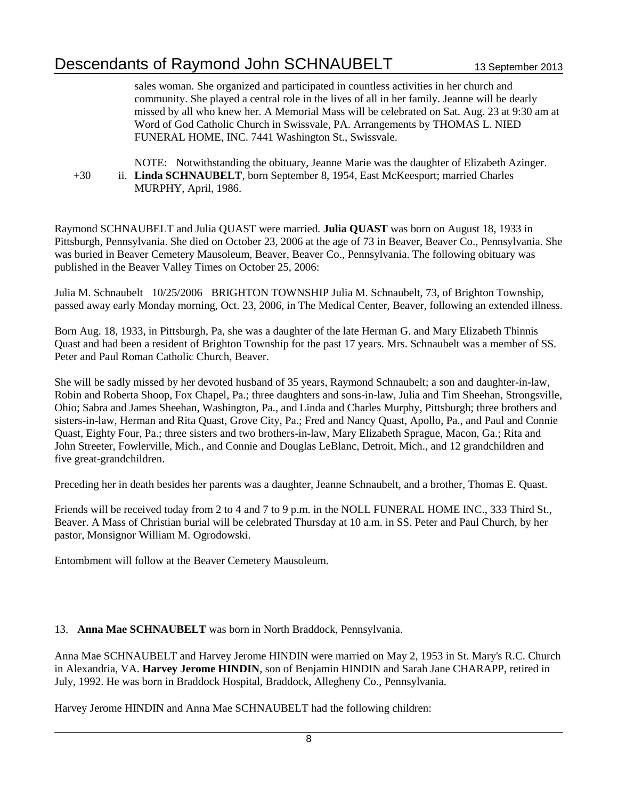sales woman. She organized and participated in countless activities in her church and community. She played a central role in the lives of all in her family. Jeanne will be dearly missed by all who knew her. A Memorial Mass will be celebrated on Sat. Aug. 23 at 9:30 am at Word of God Catholic Church in Swissvale, PA. Arrangements by THOMAS L. NIED FUNERAL HOME, INC. 7441 Washington St., Swissvale.

```
NOTE: Notwithstanding the obituary, Jeanne Marie was the daughter of Elizabeth Azinger.
+30 ii. Linda SCHNAUBELT, born September 8, 1954, East McKeesport; married Charles 
            MURPHY, April, 1986.
```
Raymond SCHNAUBELT and Julia QUAST were married. **Julia QUAST** was born on August 18, 1933 in Pittsburgh, Pennsylvania. She died on October 23, 2006 at the age of 73 in Beaver, Beaver Co., Pennsylvania. She was buried in Beaver Cemetery Mausoleum, Beaver, Beaver Co., Pennsylvania. The following obituary was published in the Beaver Valley Times on October 25, 2006:

Julia M. Schnaubelt 10/25/2006 BRIGHTON TOWNSHIP Julia M. Schnaubelt, 73, of Brighton Township, passed away early Monday morning, Oct. 23, 2006, in The Medical Center, Beaver, following an extended illness.

Born Aug. 18, 1933, in Pittsburgh, Pa, she was a daughter of the late Herman G. and Mary Elizabeth Thinnis Quast and had been a resident of Brighton Township for the past 17 years. Mrs. Schnaubelt was a member of SS. Peter and Paul Roman Catholic Church, Beaver.

She will be sadly missed by her devoted husband of 35 years, Raymond Schnaubelt; a son and daughter-in-law, Robin and Roberta Shoop, Fox Chapel, Pa.; three daughters and sons-in-law, Julia and Tim Sheehan, Strongsville, Ohio; Sabra and James Sheehan, Washington, Pa., and Linda and Charles Murphy, Pittsburgh; three brothers and sisters-in-law, Herman and Rita Quast, Grove City, Pa.; Fred and Nancy Quast, Apollo, Pa., and Paul and Connie Quast, Eighty Four, Pa.; three sisters and two brothers-in-law, Mary Elizabeth Sprague, Macon, Ga.; Rita and John Streeter, Fowlerville, Mich., and Connie and Douglas LeBlanc, Detroit, Mich., and 12 grandchildren and five great-grandchildren.

Preceding her in death besides her parents was a daughter, Jeanne Schnaubelt, and a brother, Thomas E. Quast.

Friends will be received today from 2 to 4 and 7 to 9 p.m. in the NOLL FUNERAL HOME INC., 333 Third St., Beaver. A Mass of Christian burial will be celebrated Thursday at 10 a.m. in SS. Peter and Paul Church, by her pastor, Monsignor William M. Ogrodowski.

Entombment will follow at the Beaver Cemetery Mausoleum.

#### 13. **Anna Mae SCHNAUBELT** was born in North Braddock, Pennsylvania.

Anna Mae SCHNAUBELT and Harvey Jerome HINDIN were married on May 2, 1953 in St. Mary's R.C. Church in Alexandria, VA. **Harvey Jerome HINDIN**, son of Benjamin HINDIN and Sarah Jane CHARAPP, retired in July, 1992. He was born in Braddock Hospital, Braddock, Allegheny Co., Pennsylvania.

Harvey Jerome HINDIN and Anna Mae SCHNAUBELT had the following children: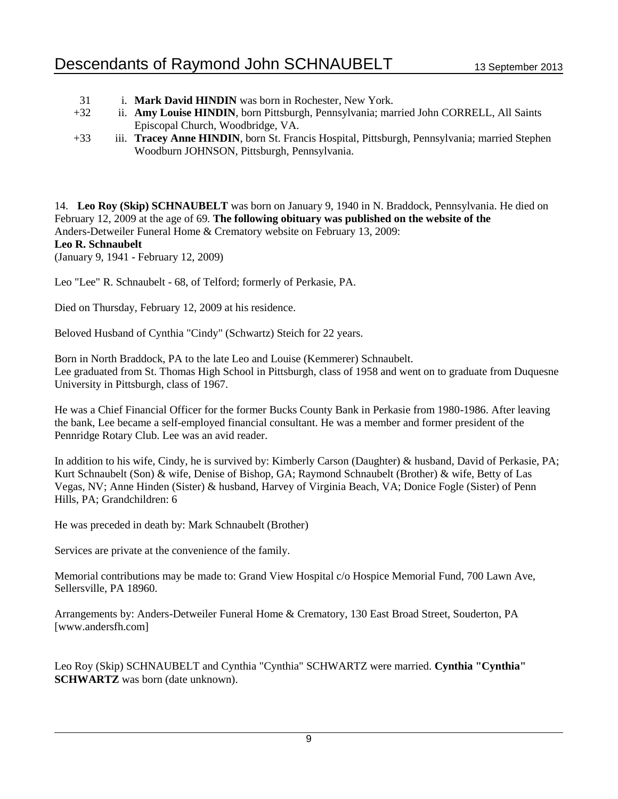- 31 i. **Mark David HINDIN** was born in Rochester, New York.
- +32 ii. **Amy Louise HINDIN**, born Pittsburgh, Pennsylvania; married John CORRELL, All Saints Episcopal Church, Woodbridge, VA.
- +33 iii. **Tracey Anne HINDIN**, born St. Francis Hospital, Pittsburgh, Pennsylvania; married Stephen Woodburn JOHNSON, Pittsburgh, Pennsylvania.

14. **Leo Roy (Skip) SCHNAUBELT** was born on January 9, 1940 in N. Braddock, Pennsylvania. He died on February 12, 2009 at the age of 69. **The following obituary was published on the website of the**  Anders-Detweiler Funeral Home & Crematory website on February 13, 2009: **Leo R. Schnaubelt** (January 9, 1941 - February 12, 2009)

Leo "Lee" R. Schnaubelt - 68, of Telford; formerly of Perkasie, PA.

Died on Thursday, February 12, 2009 at his residence.

Beloved Husband of Cynthia "Cindy" (Schwartz) Steich for 22 years.

Born in North Braddock, PA to the late Leo and Louise (Kemmerer) Schnaubelt. Lee graduated from St. Thomas High School in Pittsburgh, class of 1958 and went on to graduate from Duquesne University in Pittsburgh, class of 1967.

He was a Chief Financial Officer for the former Bucks County Bank in Perkasie from 1980-1986. After leaving the bank, Lee became a self-employed financial consultant. He was a member and former president of the Pennridge Rotary Club. Lee was an avid reader.

In addition to his wife, Cindy, he is survived by: Kimberly Carson (Daughter) & husband, David of Perkasie, PA; Kurt Schnaubelt (Son) & wife, Denise of Bishop, GA; Raymond Schnaubelt (Brother) & wife, Betty of Las Vegas, NV; Anne Hinden (Sister) & husband, Harvey of Virginia Beach, VA; Donice Fogle (Sister) of Penn Hills, PA; Grandchildren: 6

He was preceded in death by: Mark Schnaubelt (Brother)

Services are private at the convenience of the family.

Memorial contributions may be made to: Grand View Hospital c/o Hospice Memorial Fund, 700 Lawn Ave, Sellersville, PA 18960.

Arrangements by: Anders-Detweiler Funeral Home & Crematory, 130 East Broad Street, Souderton, PA [www.andersfh.com]

Leo Roy (Skip) SCHNAUBELT and Cynthia "Cynthia" SCHWARTZ were married. **Cynthia "Cynthia" SCHWARTZ** was born (date unknown).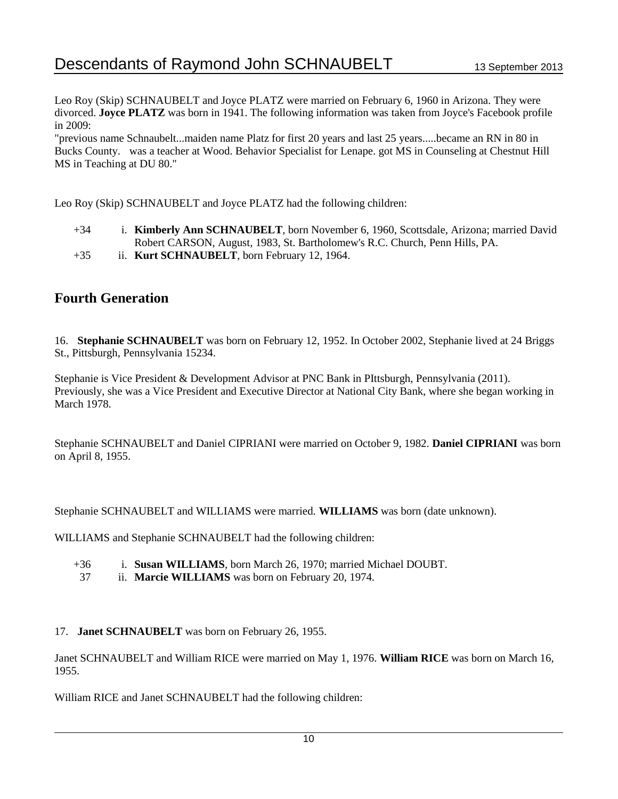Leo Roy (Skip) SCHNAUBELT and Joyce PLATZ were married on February 6, 1960 in Arizona. They were divorced. **Joyce PLATZ** was born in 1941. The following information was taken from Joyce's Facebook profile in 2009:

"previous name Schnaubelt...maiden name Platz for first 20 years and last 25 years.....became an RN in 80 in Bucks County. was a teacher at Wood. Behavior Specialist for Lenape. got MS in Counseling at Chestnut Hill MS in Teaching at DU 80."

Leo Roy (Skip) SCHNAUBELT and Joyce PLATZ had the following children:

- +34 i. **Kimberly Ann SCHNAUBELT**, born November 6, 1960, Scottsdale, Arizona; married David Robert CARSON, August, 1983, St. Bartholomew's R.C. Church, Penn Hills, PA.
- +35 ii. **Kurt SCHNAUBELT**, born February 12, 1964.

## **Fourth Generation**

16. **Stephanie SCHNAUBELT** was born on February 12, 1952. In October 2002, Stephanie lived at 24 Briggs St., Pittsburgh, Pennsylvania 15234.

Stephanie is Vice President & Development Advisor at PNC Bank in PIttsburgh, Pennsylvania (2011). Previously, she was a Vice President and Executive Director at National City Bank, where she began working in March 1978.

Stephanie SCHNAUBELT and Daniel CIPRIANI were married on October 9, 1982. **Daniel CIPRIANI** was born on April 8, 1955.

Stephanie SCHNAUBELT and WILLIAMS were married. **WILLIAMS** was born (date unknown).

WILLIAMS and Stephanie SCHNAUBELT had the following children:

- +36 i. **Susan WILLIAMS**, born March 26, 1970; married Michael DOUBT.
- 37 ii. **Marcie WILLIAMS** was born on February 20, 1974.
- 17. **Janet SCHNAUBELT** was born on February 26, 1955.

Janet SCHNAUBELT and William RICE were married on May 1, 1976. **William RICE** was born on March 16, 1955.

William RICE and Janet SCHNAUBELT had the following children: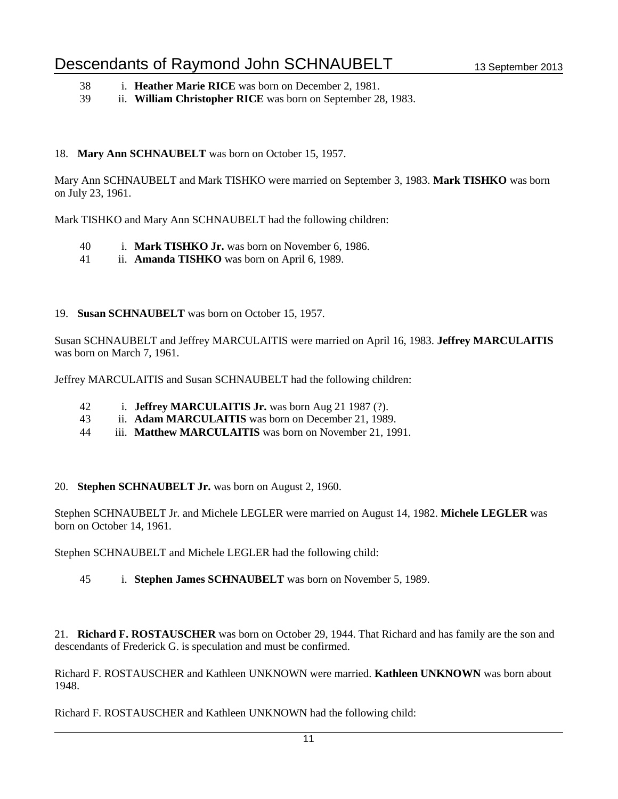- 38 i. **Heather Marie RICE** was born on December 2, 1981.
- 39 ii. **William Christopher RICE** was born on September 28, 1983.

#### 18. **Mary Ann SCHNAUBELT** was born on October 15, 1957.

Mary Ann SCHNAUBELT and Mark TISHKO were married on September 3, 1983. **Mark TISHKO** was born on July 23, 1961.

Mark TISHKO and Mary Ann SCHNAUBELT had the following children:

- 40 i. **Mark TISHKO Jr.** was born on November 6, 1986.
- 41 ii. **Amanda TISHKO** was born on April 6, 1989.

#### 19. **Susan SCHNAUBELT** was born on October 15, 1957.

Susan SCHNAUBELT and Jeffrey MARCULAITIS were married on April 16, 1983. **Jeffrey MARCULAITIS** was born on March 7, 1961.

Jeffrey MARCULAITIS and Susan SCHNAUBELT had the following children:

- 42 i. **Jeffrey MARCULAITIS Jr.** was born Aug 21 1987 (?).
- 43 ii. **Adam MARCULAITIS** was born on December 21, 1989.
- 44 iii. **Matthew MARCULAITIS** was born on November 21, 1991.
- 20. **Stephen SCHNAUBELT Jr.** was born on August 2, 1960.

Stephen SCHNAUBELT Jr. and Michele LEGLER were married on August 14, 1982. **Michele LEGLER** was born on October 14, 1961.

Stephen SCHNAUBELT and Michele LEGLER had the following child:

45 i. **Stephen James SCHNAUBELT** was born on November 5, 1989.

21. **Richard F. ROSTAUSCHER** was born on October 29, 1944. That Richard and has family are the son and descendants of Frederick G. is speculation and must be confirmed.

Richard F. ROSTAUSCHER and Kathleen UNKNOWN were married. **Kathleen UNKNOWN** was born about 1948.

Richard F. ROSTAUSCHER and Kathleen UNKNOWN had the following child: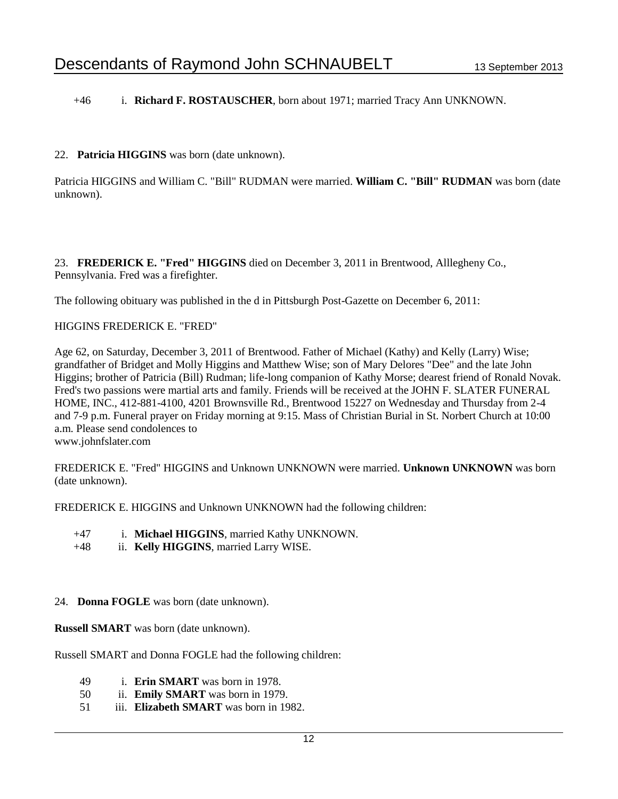+46 i. **Richard F. ROSTAUSCHER**, born about 1971; married Tracy Ann UNKNOWN.

#### 22. **Patricia HIGGINS** was born (date unknown).

Patricia HIGGINS and William C. "Bill" RUDMAN were married. **William C. "Bill" RUDMAN** was born (date unknown).

23. **FREDERICK E. "Fred" HIGGINS** died on December 3, 2011 in Brentwood, Alllegheny Co., Pennsylvania. Fred was a firefighter.

The following obituary was published in the d in Pittsburgh Post-Gazette on December 6, 2011:

#### HIGGINS FREDERICK E. "FRED"

Age 62, on Saturday, December 3, 2011 of Brentwood. Father of Michael (Kathy) and Kelly (Larry) Wise; grandfather of Bridget and Molly Higgins and Matthew Wise; son of Mary Delores "Dee" and the late John Higgins; brother of Patricia (Bill) Rudman; life-long companion of Kathy Morse; dearest friend of Ronald Novak. Fred's two passions were martial arts and family. Friends will be received at the JOHN F. SLATER FUNERAL HOME, INC., 412-881-4100, 4201 Brownsville Rd., Brentwood 15227 on Wednesday and Thursday from 2-4 and 7-9 p.m. Funeral prayer on Friday morning at 9:15. Mass of Christian Burial in St. Norbert Church at 10:00 a.m. Please send condolences to

www.johnfslater.com

FREDERICK E. "Fred" HIGGINS and Unknown UNKNOWN were married. **Unknown UNKNOWN** was born (date unknown).

FREDERICK E. HIGGINS and Unknown UNKNOWN had the following children:

- +47 i. **Michael HIGGINS**, married Kathy UNKNOWN.
- +48 ii. **Kelly HIGGINS**, married Larry WISE.

#### 24. **Donna FOGLE** was born (date unknown).

**Russell SMART** was born (date unknown).

Russell SMART and Donna FOGLE had the following children:

- 49 i. **Erin SMART** was born in 1978.
- 50 ii. **Emily SMART** was born in 1979.
- 51 iii. **Elizabeth SMART** was born in 1982.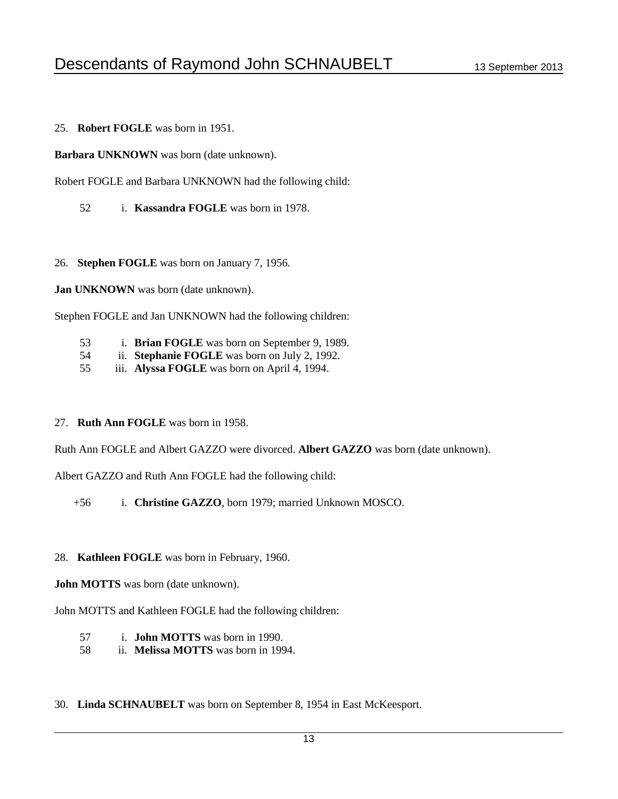25. **Robert FOGLE** was born in 1951.

**Barbara UNKNOWN** was born (date unknown).

Robert FOGLE and Barbara UNKNOWN had the following child:

- 52 i. **Kassandra FOGLE** was born in 1978.
- 26. **Stephen FOGLE** was born on January 7, 1956.

**Jan UNKNOWN** was born (date unknown).

Stephen FOGLE and Jan UNKNOWN had the following children:

- 53 i. **Brian FOGLE** was born on September 9, 1989.
- 54 ii. **Stephanie FOGLE** was born on July 2, 1992.
- 55 iii. **Alyssa FOGLE** was born on April 4, 1994.

#### 27. **Ruth Ann FOGLE** was born in 1958.

Ruth Ann FOGLE and Albert GAZZO were divorced. **Albert GAZZO** was born (date unknown).

Albert GAZZO and Ruth Ann FOGLE had the following child:

+56 i. **Christine GAZZO**, born 1979; married Unknown MOSCO.

#### 28. **Kathleen FOGLE** was born in February, 1960.

**John MOTTS** was born (date unknown).

John MOTTS and Kathleen FOGLE had the following children:

- 57 i. **John MOTTS** was born in 1990.
- 58 ii. **Melissa MOTTS** was born in 1994.
- 30. **Linda SCHNAUBELT** was born on September 8, 1954 in East McKeesport.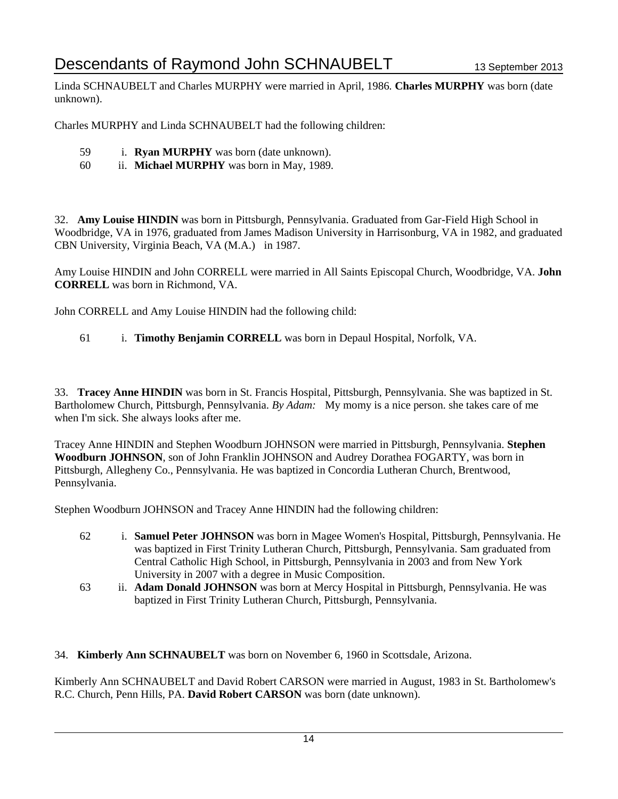Linda SCHNAUBELT and Charles MURPHY were married in April, 1986. **Charles MURPHY** was born (date unknown).

Charles MURPHY and Linda SCHNAUBELT had the following children:

- 59 i. **Ryan MURPHY** was born (date unknown).
- 60 ii. **Michael MURPHY** was born in May, 1989.

32. **Amy Louise HINDIN** was born in Pittsburgh, Pennsylvania. Graduated from Gar-Field High School in Woodbridge, VA in 1976, graduated from James Madison University in Harrisonburg, VA in 1982, and graduated CBN University, Virginia Beach, VA (M.A.) in 1987.

Amy Louise HINDIN and John CORRELL were married in All Saints Episcopal Church, Woodbridge, VA. **John CORRELL** was born in Richmond, VA.

John CORRELL and Amy Louise HINDIN had the following child:

61 i. **Timothy Benjamin CORRELL** was born in Depaul Hospital, Norfolk, VA.

33. **Tracey Anne HINDIN** was born in St. Francis Hospital, Pittsburgh, Pennsylvania. She was baptized in St. Bartholomew Church, Pittsburgh, Pennsylvania. *By Adam:* My momy is a nice person. she takes care of me when I'm sick. She always looks after me.

Tracey Anne HINDIN and Stephen Woodburn JOHNSON were married in Pittsburgh, Pennsylvania. **Stephen Woodburn JOHNSON**, son of John Franklin JOHNSON and Audrey Dorathea FOGARTY, was born in Pittsburgh, Allegheny Co., Pennsylvania. He was baptized in Concordia Lutheran Church, Brentwood, Pennsylvania.

Stephen Woodburn JOHNSON and Tracey Anne HINDIN had the following children:

- 62 i. **Samuel Peter JOHNSON** was born in Magee Women's Hospital, Pittsburgh, Pennsylvania. He was baptized in First Trinity Lutheran Church, Pittsburgh, Pennsylvania. Sam graduated from Central Catholic High School, in Pittsburgh, Pennsylvania in 2003 and from New York University in 2007 with a degree in Music Composition.
- 63 ii. **Adam Donald JOHNSON** was born at Mercy Hospital in Pittsburgh, Pennsylvania. He was baptized in First Trinity Lutheran Church, Pittsburgh, Pennsylvania.
- 34. **Kimberly Ann SCHNAUBELT** was born on November 6, 1960 in Scottsdale, Arizona.

Kimberly Ann SCHNAUBELT and David Robert CARSON were married in August, 1983 in St. Bartholomew's R.C. Church, Penn Hills, PA. **David Robert CARSON** was born (date unknown).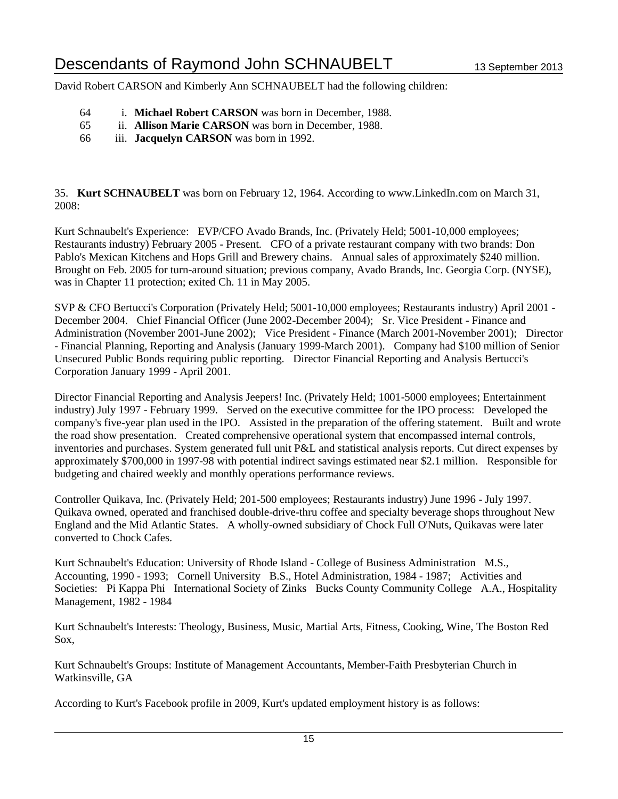David Robert CARSON and Kimberly Ann SCHNAUBELT had the following children:

- 64 i. **Michael Robert CARSON** was born in December, 1988.
- 65 ii. **Allison Marie CARSON** was born in December, 1988.
- 66 iii. **Jacquelyn CARSON** was born in 1992.

35. **Kurt SCHNAUBELT** was born on February 12, 1964. According to www.LinkedIn.com on March 31, 2008:

Kurt Schnaubelt's Experience: EVP/CFO Avado Brands, Inc. (Privately Held; 5001-10,000 employees; Restaurants industry) February 2005 - Present. CFO of a private restaurant company with two brands: Don Pablo's Mexican Kitchens and Hops Grill and Brewery chains. Annual sales of approximately \$240 million. Brought on Feb. 2005 for turn-around situation; previous company, Avado Brands, Inc. Georgia Corp. (NYSE), was in Chapter 11 protection; exited Ch. 11 in May 2005.

SVP & CFO Bertucci's Corporation (Privately Held; 5001-10,000 employees; Restaurants industry) April 2001 - December 2004. Chief Financial Officer (June 2002-December 2004); Sr. Vice President - Finance and Administration (November 2001-June 2002); Vice President - Finance (March 2001-November 2001); Director - Financial Planning, Reporting and Analysis (January 1999-March 2001). Company had \$100 million of Senior Unsecured Public Bonds requiring public reporting. Director Financial Reporting and Analysis Bertucci's Corporation January 1999 - April 2001.

Director Financial Reporting and Analysis Jeepers! Inc. (Privately Held; 1001-5000 employees; Entertainment industry) July 1997 - February 1999. Served on the executive committee for the IPO process: Developed the company's five-year plan used in the IPO. Assisted in the preparation of the offering statement. Built and wrote the road show presentation. Created comprehensive operational system that encompassed internal controls, inventories and purchases. System generated full unit P&L and statistical analysis reports. Cut direct expenses by approximately \$700,000 in 1997-98 with potential indirect savings estimated near \$2.1 million. Responsible for budgeting and chaired weekly and monthly operations performance reviews.

Controller Quikava, Inc. (Privately Held; 201-500 employees; Restaurants industry) June 1996 - July 1997. Quikava owned, operated and franchised double-drive-thru coffee and specialty beverage shops throughout New England and the Mid Atlantic States. A wholly-owned subsidiary of Chock Full O'Nuts, Quikavas were later converted to Chock Cafes.

Kurt Schnaubelt's Education: University of Rhode Island - College of Business Administration M.S., Accounting, 1990 - 1993; Cornell University B.S., Hotel Administration, 1984 - 1987; Activities and Societies: Pi Kappa Phi International Society of Zinks Bucks County Community College A.A., Hospitality Management, 1982 - 1984

Kurt Schnaubelt's Interests: Theology, Business, Music, Martial Arts, Fitness, Cooking, Wine, The Boston Red Sox,

Kurt Schnaubelt's Groups: Institute of Management Accountants, Member-Faith Presbyterian Church in Watkinsville, GA

According to Kurt's Facebook profile in 2009, Kurt's updated employment history is as follows: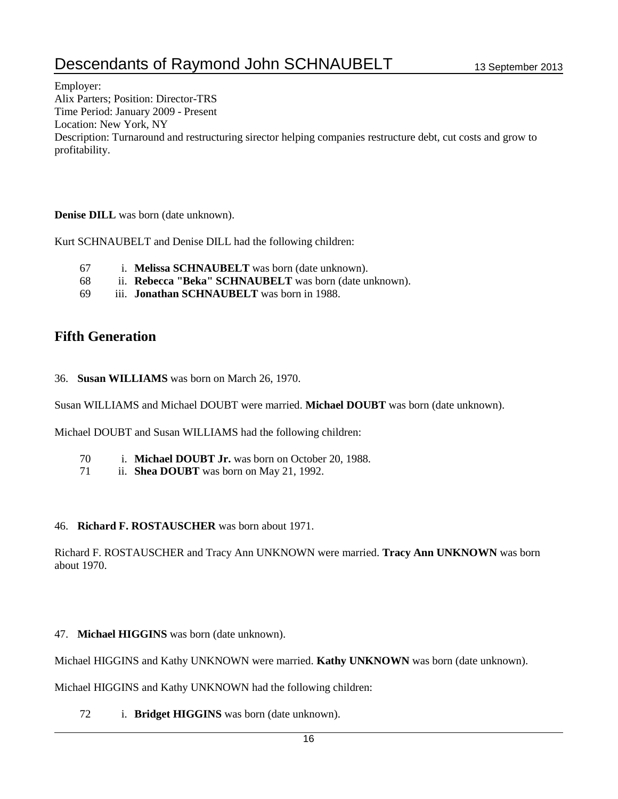# Descendants of Raymond John SCHNAUBELT 13 September 2013

Employer: Alix Parters; Position: Director-TRS Time Period: January 2009 - Present Location: New York, NY Description: Turnaround and restructuring sirector helping companies restructure debt, cut costs and grow to profitability.

#### **Denise DILL** was born (date unknown).

Kurt SCHNAUBELT and Denise DILL had the following children:

- 67 i. **Melissa SCHNAUBELT** was born (date unknown).
- 68 ii. **Rebecca "Beka" SCHNAUBELT** was born (date unknown).
- 69 iii. **Jonathan SCHNAUBELT** was born in 1988.

### **Fifth Generation**

36. **Susan WILLIAMS** was born on March 26, 1970.

Susan WILLIAMS and Michael DOUBT were married. **Michael DOUBT** was born (date unknown).

Michael DOUBT and Susan WILLIAMS had the following children:

- 70 i. **Michael DOUBT Jr.** was born on October 20, 1988.
- 71 ii. **Shea DOUBT** was born on May 21, 1992.

#### 46. **Richard F. ROSTAUSCHER** was born about 1971.

Richard F. ROSTAUSCHER and Tracy Ann UNKNOWN were married. **Tracy Ann UNKNOWN** was born about 1970.

#### 47. **Michael HIGGINS** was born (date unknown).

Michael HIGGINS and Kathy UNKNOWN were married. **Kathy UNKNOWN** was born (date unknown).

Michael HIGGINS and Kathy UNKNOWN had the following children:

72 i. **Bridget HIGGINS** was born (date unknown).